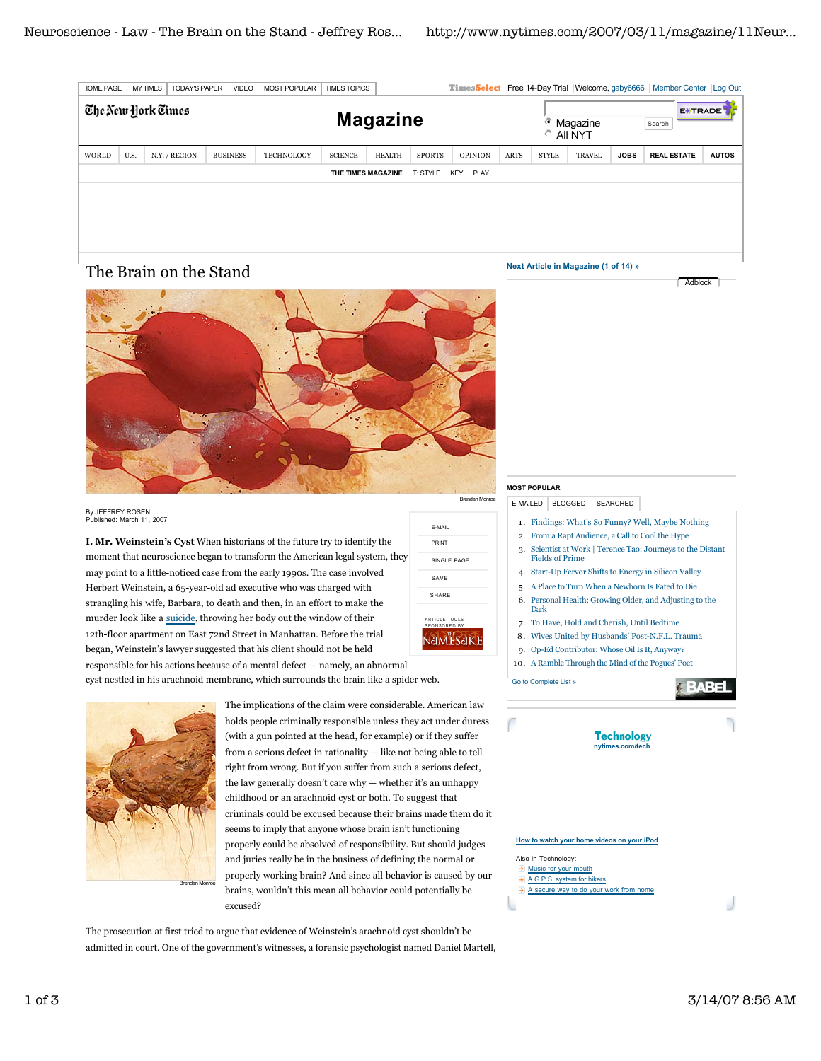

# The Brain on the Stand

**Next Article in Magazine (1 of 14) »**



By JEFFREY ROSEN Published: March 11, 2007

**I. Mr. Weinstein's Cyst** When historians of the future try to identify the moment that neuroscience began to transform the American legal system, they may point to a little-noticed case from the early 1990s. The case involved Herbert Weinstein, a 65-year-old ad executive who was charged with strangling his wife, Barbara, to death and then, in an effort to make the murder look like a suicide, throwing her body out the window of their 12th-floor apartment on East 72nd Street in Manhattan. Before the trial began, Weinstein's lawyer suggested that his client should not be held responsible for his actions because of a mental defect — namely, an abnormal



cyst nestled in his arachnoid membrane, which surrounds the brain like a spider web.



The implications of the claim were considerable. American law holds people criminally responsible unless they act under duress (with a gun pointed at the head, for example) or if they suffer from a serious defect in rationality — like not being able to tell right from wrong. But if you suffer from such a serious defect, the law generally doesn't care why — whether it's an unhappy childhood or an arachnoid cyst or both. To suggest that criminals could be excused because their brains made them do it seems to imply that anyone whose brain isn't functioning properly could be absolved of responsibility. But should judges and juries really be in the business of defining the normal or properly working brain? And since all behavior is caused by our brains, wouldn't this mean all behavior could potentially be excused?

The prosecution at first tried to argue that evidence of Weinstein's arachnoid cyst shouldn't be admitted in court. One of the government's witnesses, a forensic psychologist named Daniel Martell,

## **MOST POPULAR**

- E-MAILED BLOGGED SEARCHED
- 1 . Findings: What's So Funny? Well, Maybe Nothing
- 2. From a Rapt Audience, a Call to Cool the Hype
- Scientist at Work | Terence Tao: Journeys to the Distant Fields of Prime 3.
- 4. Start-Up Fervor Shifts to Energy in Silicon Valley
- 5. A Place to Turn When a Newborn Is Fated to Die
- Personal Health: Growing Older, and Adjusting to the Dark 6.
- 7. To Have, Hold and Cherish, Until Bedtime
- 8. Wives United by Husbands' Post-N.F.L. Trauma
- 9. Op-Ed Contributor: Whose Oil Is It, Anyway?

10. A Ramble Through the Mind of the Pogues' Poet

Go to Complete List »

**BABE** 

Adblock

**Technology nytimes.com How to watch your home videos on your iPod** Also in Technology: Music for your mouth

- A G.P.S. system for hikers ä
- A secure way to do your work from home Ġ,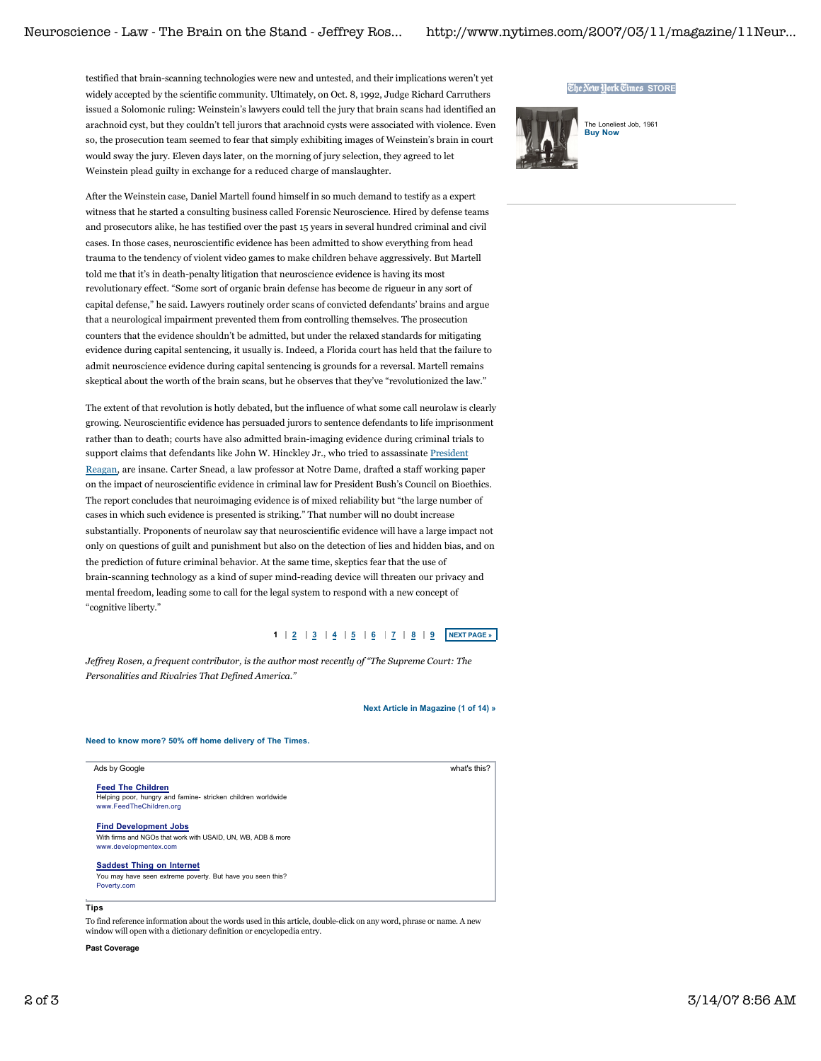testified that brain-scanning technologies were new and untested, and their implications weren't yet widely accepted by the scientific community. Ultimately, on Oct. 8, 1992, Judge Richard Carruthers issued a Solomonic ruling: Weinstein's lawyers could tell the jury that brain scans had identified an arachnoid cyst, but they couldn't tell jurors that arachnoid cysts were associated with violence. Even so, the prosecution team seemed to fear that simply exhibiting images of Weinstein's brain in court would sway the jury. Eleven days later, on the morning of jury selection, they agreed to let Weinstein plead guilty in exchange for a reduced charge of manslaughter.

After the Weinstein case, Daniel Martell found himself in so much demand to testify as a expert witness that he started a consulting business called Forensic Neuroscience. Hired by defense teams and prosecutors alike, he has testified over the past 15 years in several hundred criminal and civil cases. In those cases, neuroscientific evidence has been admitted to show everything from head trauma to the tendency of violent video games to make children behave aggressively. But Martell told me that it's in death-penalty litigation that neuroscience evidence is having its most revolutionary effect. "Some sort of organic brain defense has become de rigueur in any sort of capital defense," he said. Lawyers routinely order scans of convicted defendants' brains and argue that a neurological impairment prevented them from controlling themselves. The prosecution counters that the evidence shouldn't be admitted, but under the relaxed standards for mitigating evidence during capital sentencing, it usually is. Indeed, a Florida court has held that the failure to admit neuroscience evidence during capital sentencing is grounds for a reversal. Martell remains skeptical about the worth of the brain scans, but he observes that they've "revolutionized the law."

The extent of that revolution is hotly debated, but the influence of what some call neurolaw is clearly growing. Neuroscientific evidence has persuaded jurors to sentence defendants to life imprisonment rather than to death; courts have also admitted brain-imaging evidence during criminal trials to support claims that defendants like John W. Hinckley Jr., who tried to assassinate President Reagan, are insane. Carter Snead, a law professor at Notre Dame, drafted a staff working paper on the impact of neuroscientific evidence in criminal law for President Bush's Council on Bioethics. The report concludes that neuroimaging evidence is of mixed reliability but "the large number of cases in which such evidence is presented is striking." That number will no doubt increase substantially. Proponents of neurolaw say that neuroscientific evidence will have a large impact not only on questions of guilt and punishment but also on the detection of lies and hidden bias, and on the prediction of future criminal behavior. At the same time, skeptics fear that the use of brain-scanning technology as a kind of super mind-reading device will threaten our privacy and mental freedom, leading some to call for the legal system to respond with a new concept of "cognitive liberty."

# **NEXT PAGE » 1 2 3 4 5 6 7 8 9**

*Jeffrey Rosen, a frequent contributor, is the author most recently of "The Supreme Court: The Personalities and Rivalries That Defined America."*

#### **Next Article in Magazine (1 of 14) »**

**Need to know more? 50% off home delivery of The Times.**

| Ads by Google                                                                                                         | what's this? |
|-----------------------------------------------------------------------------------------------------------------------|--------------|
| <b>Feed The Children</b><br>Helping poor, hungry and famine-stricken children worldwide<br>www.FeedTheChildren.org    |              |
| <b>Find Development Jobs</b><br>With firms and NGOs that work with USAID, UN, WB, ADB & more<br>www.developmentex.com |              |
| <b>Saddest Thing on Internet</b><br>You may have seen extreme poverty. But have you seen this?<br>Poverty.com         |              |

# **Tips**

To find reference information about the words used in this article, double-click on any word, phrase or name. A new window will open with a dictionary definition or encyclopedia entry.

## **Past Coverage**

# The New York Times STORE